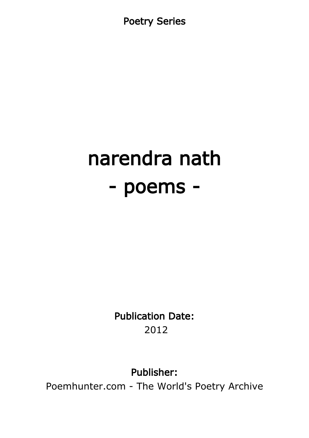Poetry Series

# narendra nath - poems -

Publication Date: 2012

Publisher:

Poemhunter.com - The World's Poetry Archive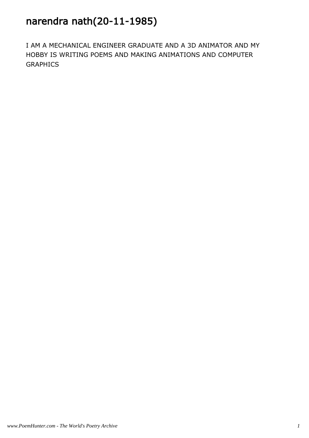# narendra nath(20-11-1985)

I AM A MECHANICAL ENGINEER GRADUATE AND A 3D ANIMATOR AND MY HOBBY IS WRITING POEMS AND MAKING ANIMATIONS AND COMPUTER GRAPHICS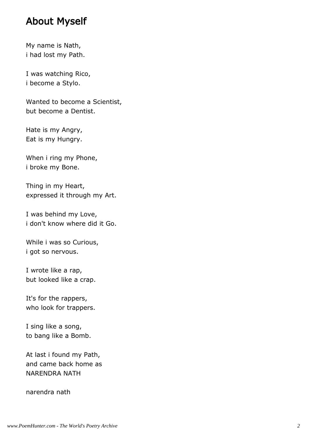### About Myself

My name is Nath, i had lost my Path.

I was watching Rico, i become a Stylo.

Wanted to become a Scientist, but become a Dentist.

Hate is my Angry, Eat is my Hungry.

When i ring my Phone, i broke my Bone.

Thing in my Heart, expressed it through my Art.

I was behind my Love, i don't know where did it Go.

While i was so Curious, i got so nervous.

I wrote like a rap, but looked like a crap.

It's for the rappers, who look for trappers.

I sing like a song, to bang like a Bomb.

At last i found my Path, and came back home as NARENDRA NATH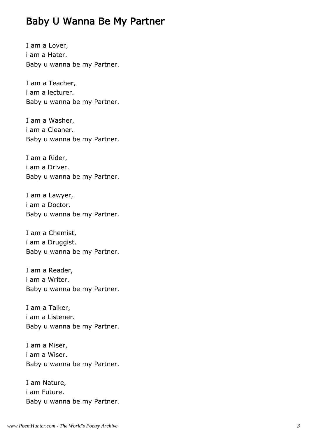# Baby U Wanna Be My Partner

I am a Lover, i am a Hater. Baby u wanna be my Partner.

I am a Teacher, i am a lecturer. Baby u wanna be my Partner.

I am a Washer, i am a Cleaner. Baby u wanna be my Partner.

I am a Rider, i am a Driver. Baby u wanna be my Partner.

I am a Lawyer, i am a Doctor. Baby u wanna be my Partner.

I am a Chemist, i am a Druggist. Baby u wanna be my Partner.

I am a Reader, i am a Writer. Baby u wanna be my Partner.

I am a Talker, i am a Listener. Baby u wanna be my Partner.

I am a Miser, i am a Wiser. Baby u wanna be my Partner.

I am Nature, i am Future. Baby u wanna be my Partner.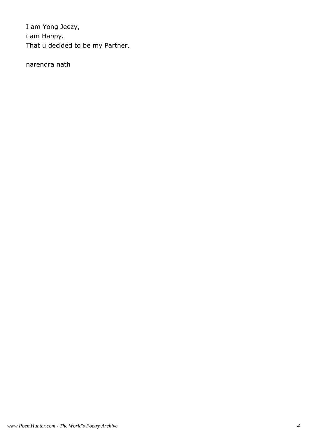I am Yong Jeezy, i am Happy. That u decided to be my Partner.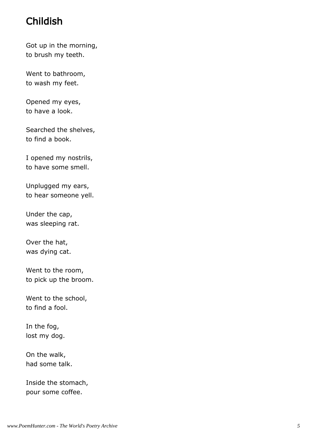# Childish

Got up in the morning, to brush my teeth.

Went to bathroom, to wash my feet.

Opened my eyes, to have a look.

Searched the shelves, to find a book.

I opened my nostrils, to have some smell.

Unplugged my ears, to hear someone yell.

Under the cap, was sleeping rat.

Over the hat, was dying cat.

Went to the room, to pick up the broom.

Went to the school, to find a fool.

In the fog, lost my dog.

On the walk, had some talk.

Inside the stomach, pour some coffee.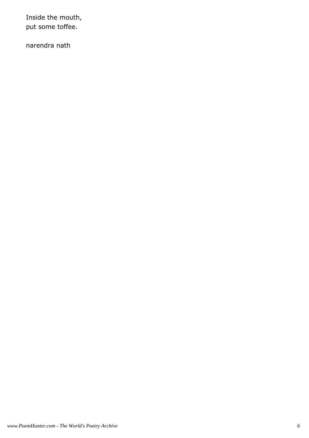Inside the mouth, put some toffee.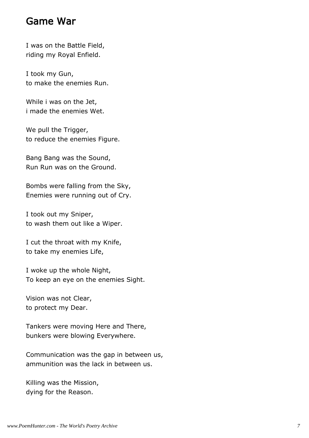### Game War

I was on the Battle Field, riding my Royal Enfield.

I took my Gun, to make the enemies Run.

While i was on the Jet, i made the enemies Wet.

We pull the Trigger, to reduce the enemies Figure.

Bang Bang was the Sound, Run Run was on the Ground.

Bombs were falling from the Sky, Enemies were running out of Cry.

I took out my Sniper, to wash them out like a Wiper.

I cut the throat with my Knife, to take my enemies Life,

I woke up the whole Night, To keep an eye on the enemies Sight.

Vision was not Clear, to protect my Dear.

Tankers were moving Here and There, bunkers were blowing Everywhere.

Communication was the gap in between us, ammunition was the lack in between us.

Killing was the Mission, dying for the Reason.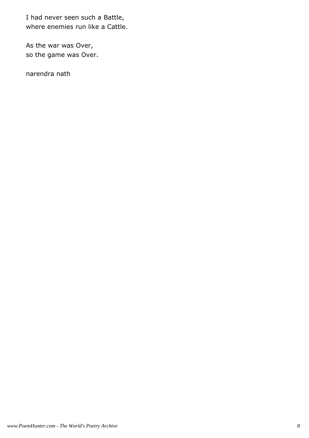I had never seen such a Battle, where enemies run like a Cattle.

As the war was Over, so the game was Over.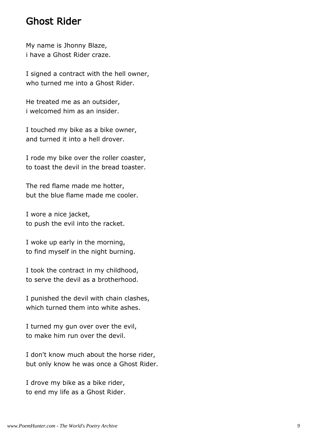### Ghost Rider

My name is Jhonny Blaze, i have a Ghost Rider craze.

I signed a contract with the hell owner, who turned me into a Ghost Rider.

He treated me as an outsider, i welcomed him as an insider.

I touched my bike as a bike owner, and turned it into a hell drover.

I rode my bike over the roller coaster, to toast the devil in the bread toaster.

The red flame made me hotter, but the blue flame made me cooler.

I wore a nice jacket, to push the evil into the racket.

I woke up early in the morning, to find myself in the night burning.

I took the contract in my childhood, to serve the devil as a brotherhood.

I punished the devil with chain clashes, which turned them into white ashes.

I turned my gun over over the evil, to make him run over the devil.

I don't know much about the horse rider, but only know he was once a Ghost Rider.

I drove my bike as a bike rider, to end my life as a Ghost Rider.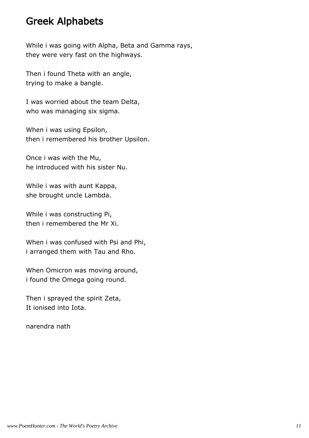### Greek Alphabets

While i was going with Alpha, Beta and Gamma rays, they were very fast on the highways.

Then i found Theta with an angle, trying to make a bangle.

I was worried about the team Delta, who was managing six sigma.

When i was using Epsilon, then i remembered his brother Upsilon.

Once i was with the Mu, he introduced with his sister Nu.

While i was with aunt Kappa, she brought uncle Lambda.

While i was constructing Pi, then i remembered the Mr Xi.

When i was confused with Psi and Phi, i arranged them with Tau and Rho.

When Omicron was moving around, i found the Omega going round.

Then i sprayed the spirit Zeta, It ionised into Iota.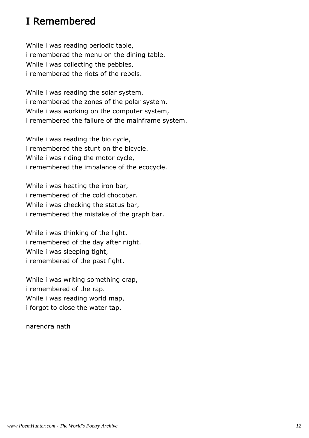# I Remembered

While i was reading periodic table, i remembered the menu on the dining table. While i was collecting the pebbles, i remembered the riots of the rebels.

While i was reading the solar system, i remembered the zones of the polar system. While i was working on the computer system, i remembered the failure of the mainframe system.

While i was reading the bio cycle, i remembered the stunt on the bicycle. While i was riding the motor cycle, i remembered the imbalance of the ecocycle.

While i was heating the iron bar, i remembered of the cold chocobar. While i was checking the status bar, i remembered the mistake of the graph bar.

While i was thinking of the light, i remembered of the day after night. While i was sleeping tight, i remembered of the past fight.

While i was writing something crap, i remembered of the rap. While i was reading world map, i forgot to close the water tap.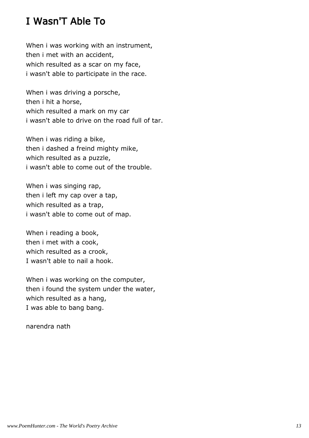# I Wasn'T Able To

When i was working with an instrument, then i met with an accident, which resulted as a scar on my face, i wasn't able to participate in the race.

When i was driving a porsche, then i hit a horse, which resulted a mark on my car i wasn't able to drive on the road full of tar.

When i was riding a bike, then i dashed a freind mighty mike, which resulted as a puzzle, i wasn't able to come out of the trouble.

When i was singing rap, then i left my cap over a tap, which resulted as a trap, i wasn't able to come out of map.

When i reading a book, then i met with a cook, which resulted as a crook, I wasn't able to nail a hook.

When i was working on the computer, then i found the system under the water, which resulted as a hang, I was able to bang bang.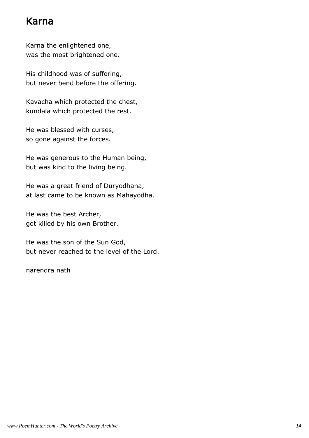# Karna

Karna the enlightened one, was the most brightened one.

His childhood was of suffering, but never bend before the offering.

Kavacha which protected the chest, kundala which protected the rest.

He was blessed with curses, so gone against the forces.

He was generous to the Human being, but was kind to the living being.

He was a great friend of Duryodhana, at last came to be known as Mahayodha.

He was the best Archer, got killed by his own Brother.

He was the son of the Sun God, but never reached to the level of the Lord.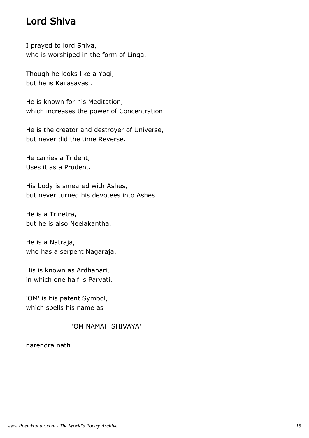# Lord Shiva

I prayed to lord Shiva, who is worshiped in the form of Linga.

Though he looks like a Yogi, but he is Kailasavasi.

He is known for his Meditation, which increases the power of Concentration.

He is the creator and destroyer of Universe, but never did the time Reverse.

He carries a Trident, Uses it as a Prudent.

His body is smeared with Ashes, but never turned his devotees into Ashes.

He is a Trinetra, but he is also Neelakantha.

He is a Natraja, who has a serpent Nagaraja.

His is known as Ardhanari, in which one half is Parvati.

'OM' is his patent Symbol, which spells his name as

#### 'OM NAMAH SHIVAYA'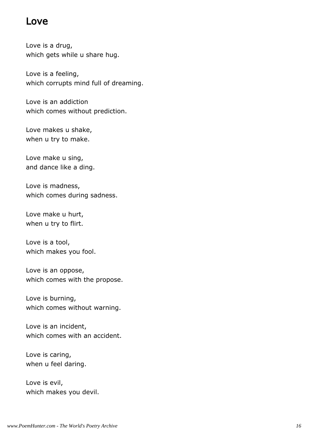### Love

Love is a drug, which gets while u share hug.

Love is a feeling, which corrupts mind full of dreaming.

Love is an addiction which comes without prediction.

Love makes u shake, when u try to make.

Love make u sing, and dance like a ding.

Love is madness, which comes during sadness.

Love make u hurt, when u try to flirt.

Love is a tool, which makes you fool.

Love is an oppose, which comes with the propose.

Love is burning, which comes without warning.

Love is an incident, which comes with an accident.

Love is caring, when u feel daring.

Love is evil, which makes you devil.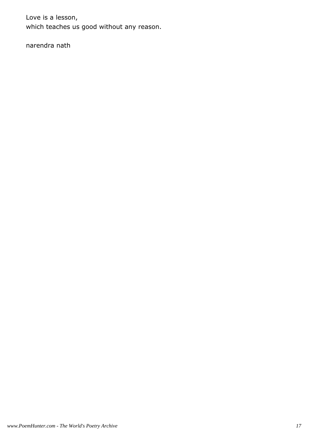Love is a lesson, which teaches us good without any reason.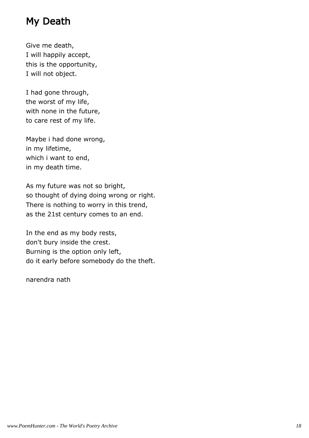# My Death

Give me death, I will happily accept, this is the opportunity, I will not object.

I had gone through, the worst of my life, with none in the future, to care rest of my life.

Maybe i had done wrong, in my lifetime, which i want to end, in my death time.

As my future was not so bright, so thought of dying doing wrong or right. There is nothing to worry in this trend, as the 21st century comes to an end.

In the end as my body rests, don't bury inside the crest. Burning is the option only left, do it early before somebody do the theft.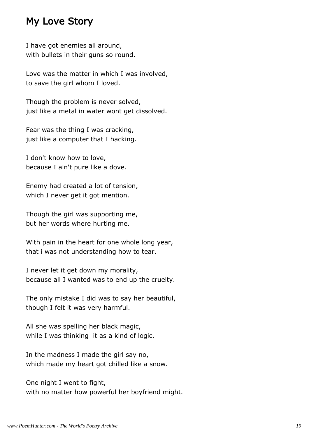# My Love Story

I have got enemies all around, with bullets in their guns so round.

Love was the matter in which I was involved, to save the girl whom I loved.

Though the problem is never solved, just like a metal in water wont get dissolved.

Fear was the thing I was cracking, just like a computer that I hacking.

I don't know how to love, because I ain't pure like a dove.

Enemy had created a lot of tension, which I never get it got mention.

Though the girl was supporting me, but her words where hurting me.

With pain in the heart for one whole long year, that i was not understanding how to tear.

I never let it get down my morality, because all I wanted was to end up the cruelty.

The only mistake I did was to say her beautiful, though I felt it was very harmful.

All she was spelling her black magic, while I was thinking it as a kind of logic.

In the madness I made the girl say no, which made my heart got chilled like a snow.

One night I went to fight, with no matter how powerful her boyfriend might.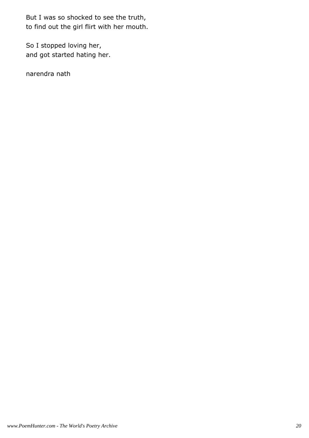But I was so shocked to see the truth, to find out the girl flirt with her mouth.

So I stopped loving her, and got started hating her.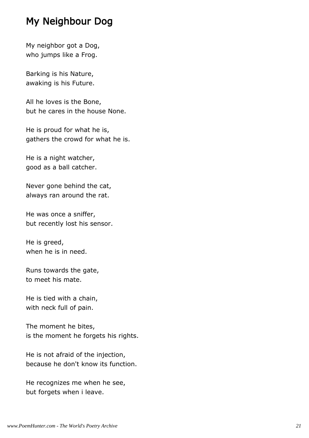# My Neighbour Dog

My neighbor got a Dog, who jumps like a Frog.

Barking is his Nature, awaking is his Future.

All he loves is the Bone, but he cares in the house None.

He is proud for what he is, gathers the crowd for what he is.

He is a night watcher, good as a ball catcher.

Never gone behind the cat, always ran around the rat.

He was once a sniffer, but recently lost his sensor.

He is greed, when he is in need.

Runs towards the gate, to meet his mate.

He is tied with a chain, with neck full of pain.

The moment he bites, is the moment he forgets his rights.

He is not afraid of the injection, because he don't know its function.

He recognizes me when he see, but forgets when i leave.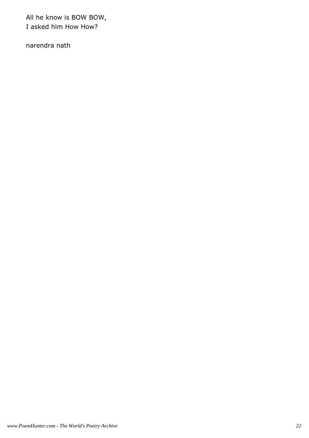All he know is BOW BOW, I asked him How How?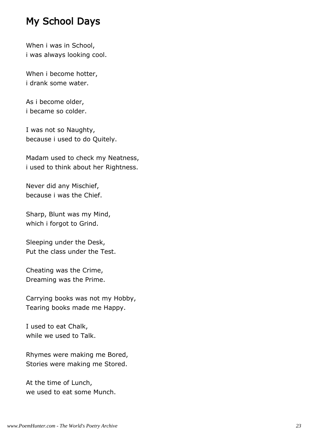# My School Days

When i was in School, i was always looking cool.

When i become hotter, i drank some water.

As i become older, i became so colder.

I was not so Naughty, because i used to do Quitely.

Madam used to check my Neatness, i used to think about her Rightness.

Never did any Mischief, because i was the Chief.

Sharp, Blunt was my Mind, which i forgot to Grind.

Sleeping under the Desk, Put the class under the Test.

Cheating was the Crime, Dreaming was the Prime.

Carrying books was not my Hobby, Tearing books made me Happy.

I used to eat Chalk, while we used to Talk.

Rhymes were making me Bored, Stories were making me Stored.

At the time of Lunch, we used to eat some Munch.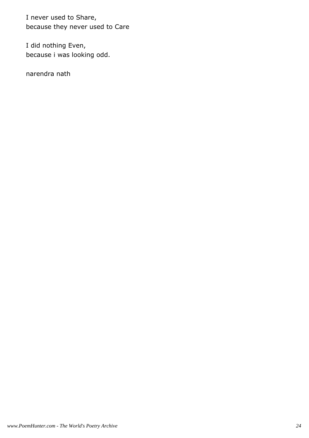I never used to Share, because they never used to Care

I did nothing Even, because i was looking odd.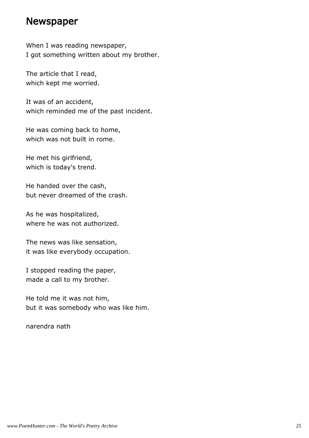### Newspaper

When I was reading newspaper, I got something written about my brother.

The article that I read, which kept me worried.

It was of an accident, which reminded me of the past incident.

He was coming back to home, which was not built in rome.

He met his girlfriend, which is today's trend.

He handed over the cash, but never dreamed of the crash.

As he was hospitalized, where he was not authorized.

The news was like sensation, it was like everybody occupation.

I stopped reading the paper, made a call to my brother.

He told me it was not him, but it was somebody who was like him.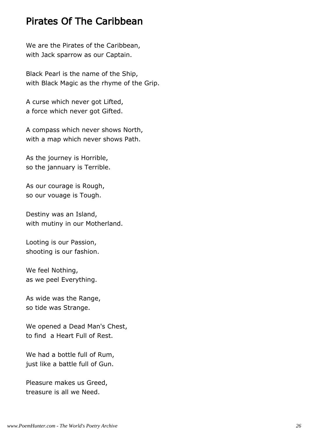# Pirates Of The Caribbean

We are the Pirates of the Caribbean, with Jack sparrow as our Captain.

Black Pearl is the name of the Ship, with Black Magic as the rhyme of the Grip.

A curse which never got Lifted, a force which never got Gifted.

A compass which never shows North, with a map which never shows Path.

As the journey is Horrible, so the jannuary is Terrible.

As our courage is Rough, so our vouage is Tough.

Destiny was an Island, with mutiny in our Motherland.

Looting is our Passion, shooting is our fashion.

We feel Nothing, as we peel Everything.

As wide was the Range, so tide was Strange.

We opened a Dead Man's Chest, to find a Heart Full of Rest.

We had a bottle full of Rum, just like a battle full of Gun.

Pleasure makes us Greed, treasure is all we Need.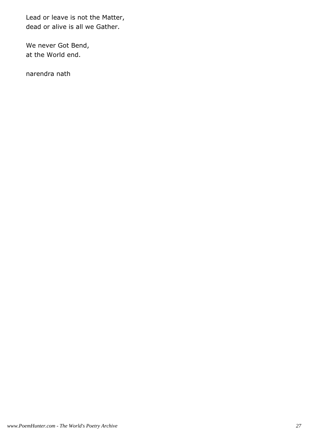Lead or leave is not the Matter, dead or alive is all we Gather.

We never Got Bend, at the World end.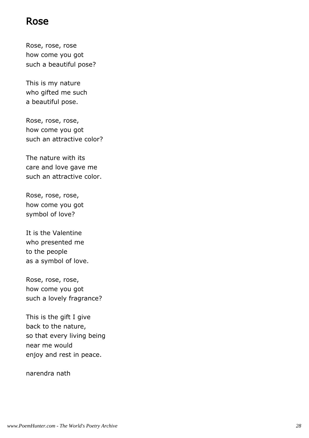### Rose

Rose, rose, rose how come you got such a beautiful pose?

This is my nature who gifted me such a beautiful pose.

Rose, rose, rose, how come you got such an attractive color?

The nature with its care and love gave me such an attractive color.

Rose, rose, rose, how come you got symbol of love?

It is the Valentine who presented me to the people as a symbol of love.

Rose, rose, rose, how come you got such a lovely fragrance?

This is the gift I give back to the nature, so that every living being near me would enjoy and rest in peace.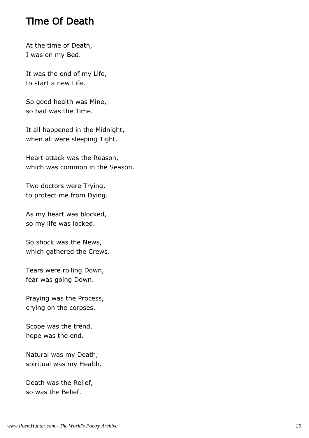# Time Of Death

At the time of Death, I was on my Bed.

It was the end of my Life, to start a new Life.

So good health was Mine, so bad was the Time.

It all happened in the Midnight, when all were sleeping Tight.

Heart attack was the Reason, which was common in the Season.

Two doctors were Trying, to protect me from Dying.

As my heart was blocked, so my life was locked.

So shock was the News, which gathered the Crews.

Tears were rolling Down, fear was going Down.

Praying was the Process, crying on the corpses.

Scope was the trend, hope was the end.

Natural was my Death, spiritual was my Health.

Death was the Relief, so was the Belief.